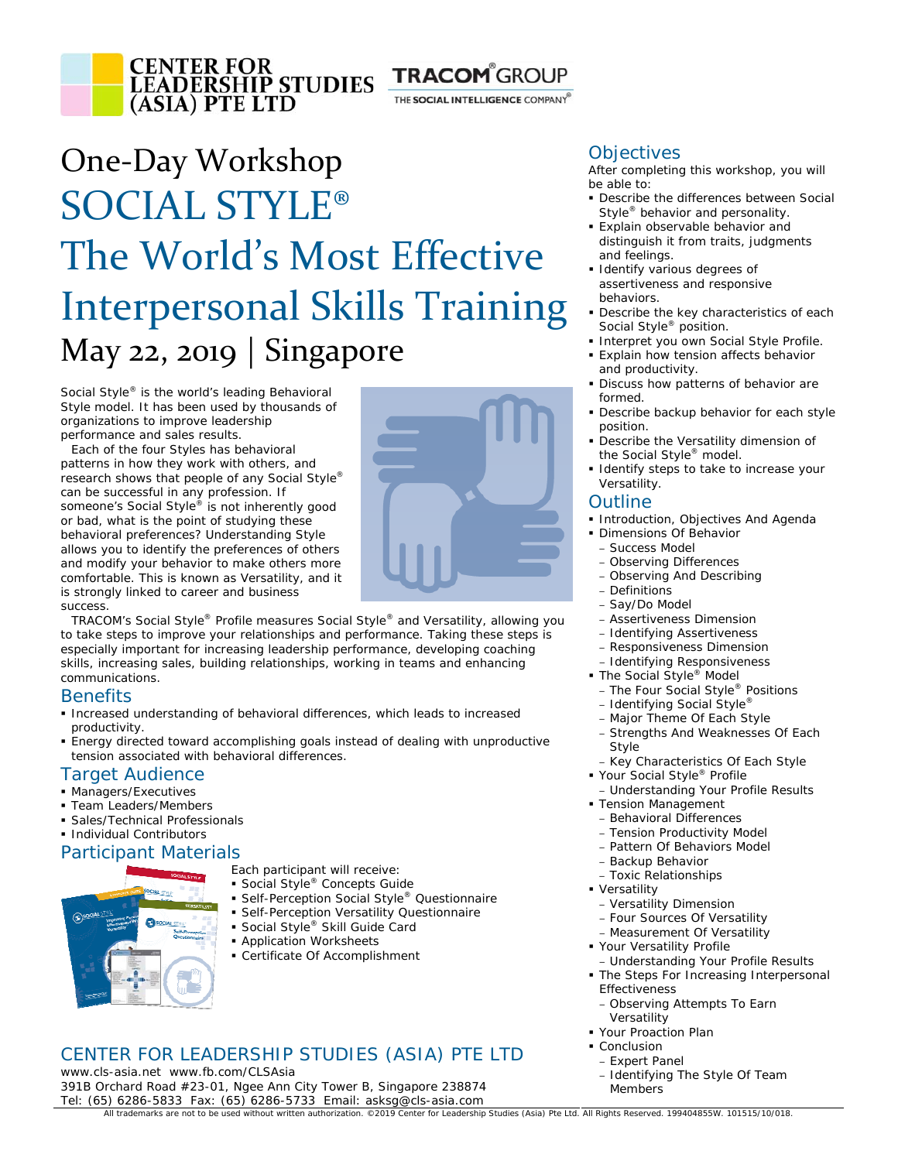

THE SOCIAL INTELLIGENCE COMPANY®

# One‐Day Workshop SOCIAL STYLE® The World's Most Effective Interpersonal Skills Training May 22, 2019 | Singapore

Social Style® is the world's leading Behavioral Style model. It has been used by thousands of organizations to improve leadership performance and sales results.

Each of the four Styles has behavioral patterns in how they work with others, and research shows that people of any Social Style® can be successful in any profession. If someone's Social Style® is not inherently good or bad, what is the point of studying these behavioral preferences? Understanding Style allows you to identify the preferences of others and modify your behavior to make others more comfortable. This is known as Versatility, and it is strongly linked to car eer and business s uccess.



skills, increasing sales, building relationships, working in teams and enhancing communications. TRACOM's Social Style® Profile measures Social Style® and Versatility, allowing you to take steps to improve your relationships and performance. Taking these steps is especially important for increasing leadership performance, developing coaching

### **Benefits**

- **Increased understanding of behavioral differences, which leads to increased** productivity.
- **Energy directed toward accomplishing goals instead of dealing with unproductive** tension associated with behavioral differences.

### Target Audience

- **Managers/Executives**
- Team Leaders/Members
- Sales/Technical Professionals
- **Individual Contributors**

### Participant Materials



- Each participant will receive:
- Social Style<sup>®</sup> Concepts Guide
- Self-Perception Social Style<sup>®</sup> Questionnaire
- **Self-Perception Versatility Questionnaire**
- Social Style® Skill Guide Card
- **Application Worksheets**
- Certificate Of Accomplishment

# CENTER FOR LEADERSHIP STUDIES (ASIA) PTE LTD

Tel: (6 5) 6286-5833 Fax: (65) 6286-5733 Email: asksg@cls-asia.com www.cls-asia.net www.fb.com/CLSAsia 391B Orchard Road #23-01, Ngee Ann City Tower B, Singapore 238874

### **Objectives**

After completing this workshop, you will be able to:

- **Describe the differences between Social** Style<sup>®</sup> behavior and personality.
- Explain observable behavior and distinguish it from traits, judgments and feelings.
- **I** Identify various degrees of assertiveness and responsive behaviors.
- **Describe the key characteristics of each** Social Style® position.
- Interpret you own Social Style Profile.
- **Explain how tension affects behavior** and productivity.
- Discuss how patterns of behavior are formed.
- **-** Describe backup behavior for each style position.
- Describe the Versatility dimension of the Social Style® model.
- **I** Identify steps to take to increase your Versatility.

### **Outline**

- **Introduction, Objectives And Agenda**
- **Dimensions Of Behavior** 
	- Success Model
	- Observing Differences – Observing And Describing
	- Definitions
	- Say/Do Model
	- Assertiveness Dimension
	- Identifying Assertiveness
	- Responsiveness Dimension
- Identifying Responsiveness
- The Social Style<sup>®</sup> Model
	- The Four Social Style® Positions
	- Identifying Social Style®
	- Major Theme Of Each Style
	- Strengths And Weaknesses Of Each Style
- Key Characteristics Of Each Style
- Your Social Style<sup>®</sup> Profile
- Understanding Your Profile Results
- **Tension Management**
- Behavioral Differences
- Tension Productivity Model
- Pattern Of Behaviors Model
- Backup Behavior
- Toxic Relationships
- **· Versatility** 
	- Versatility Dimension
	- Four Sources Of Versatility – Measurement Of Versatility
- Your Versatility Profile
- Understanding Your Profile Results
- **The Steps For Increasing Interpersonal** Effectiveness
- Observing Attempts To Earn Versatility
- Your Proaction Plan
- **Conclusion** – Expert Panel
	- Identifying The Style Of Team Members

All trademarks are not to be used without written authorization. ©2019 Center for Leadership Studies (Asia) Pte Ltd. All Rights Reserved. 199404855W. 101515/10/018.